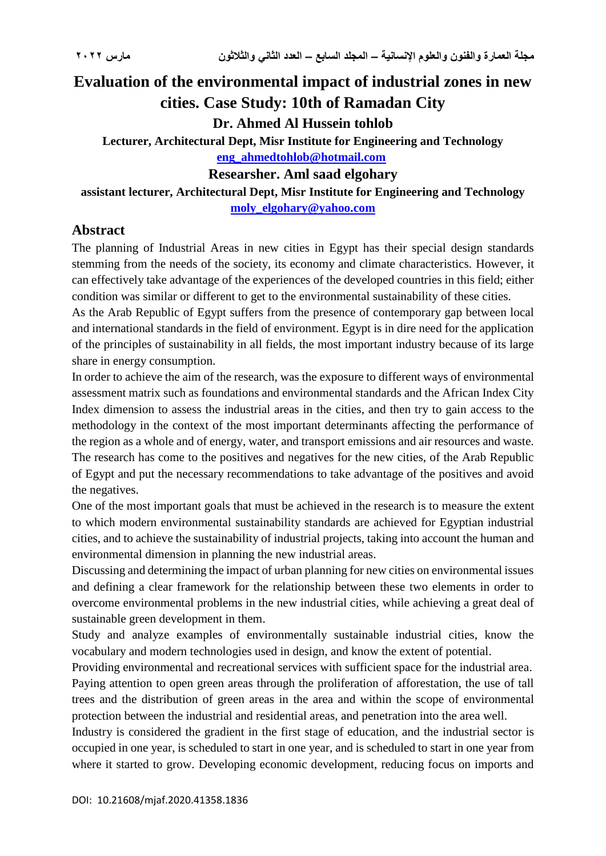# **Evaluation of the environmental impact of industrial zones in new cities. Case Study: 10th of Ramadan City**

**Dr. Ahmed Al Hussein tohlob**

**Lecturer, Architectural Dept, Misr Institute for Engineering and Technology [eng\\_ahmedtohlob@hotmail.com](mailto:eng_ahmedtohlob@hotmail.com)**

**Researsher. Aml saad elgohary**

**assistant lecturer, Architectural Dept, Misr Institute for Engineering and Technology [moly\\_elgohary@yahoo.com](mailto:moly_elgohary@yahoo.com)**

# **Abstract**

The planning of Industrial Areas in new cities in Egypt has their special design standards stemming from the needs of the society, its economy and climate characteristics. However, it can effectively take advantage of the experiences of the developed countries in this field; either condition was similar or different to get to the environmental sustainability of these cities.

As the Arab Republic of Egypt suffers from the presence of contemporary gap between local and international standards in the field of environment. Egypt is in dire need for the application of the principles of sustainability in all fields, the most important industry because of its large share in energy consumption.

In order to achieve the aim of the research, was the exposure to different ways of environmental assessment matrix such as foundations and environmental standards and the African Index City Index dimension to assess the industrial areas in the cities, and then try to gain access to the methodology in the context of the most important determinants affecting the performance of the region as a whole and of energy, water, and transport emissions and air resources and waste. The research has come to the positives and negatives for the new cities, of the Arab Republic of Egypt and put the necessary recommendations to take advantage of the positives and avoid the negatives.

One of the most important goals that must be achieved in the research is to measure the extent to which modern environmental sustainability standards are achieved for Egyptian industrial cities, and to achieve the sustainability of industrial projects, taking into account the human and environmental dimension in planning the new industrial areas.

Discussing and determining the impact of urban planning for new cities on environmental issues and defining a clear framework for the relationship between these two elements in order to overcome environmental problems in the new industrial cities, while achieving a great deal of sustainable green development in them.

Study and analyze examples of environmentally sustainable industrial cities, know the vocabulary and modern technologies used in design, and know the extent of potential.

Providing environmental and recreational services with sufficient space for the industrial area. Paying attention to open green areas through the proliferation of afforestation, the use of tall trees and the distribution of green areas in the area and within the scope of environmental protection between the industrial and residential areas, and penetration into the area well.

Industry is considered the gradient in the first stage of education, and the industrial sector is occupied in one year, is scheduled to start in one year, and is scheduled to start in one year from where it started to grow. Developing economic development, reducing focus on imports and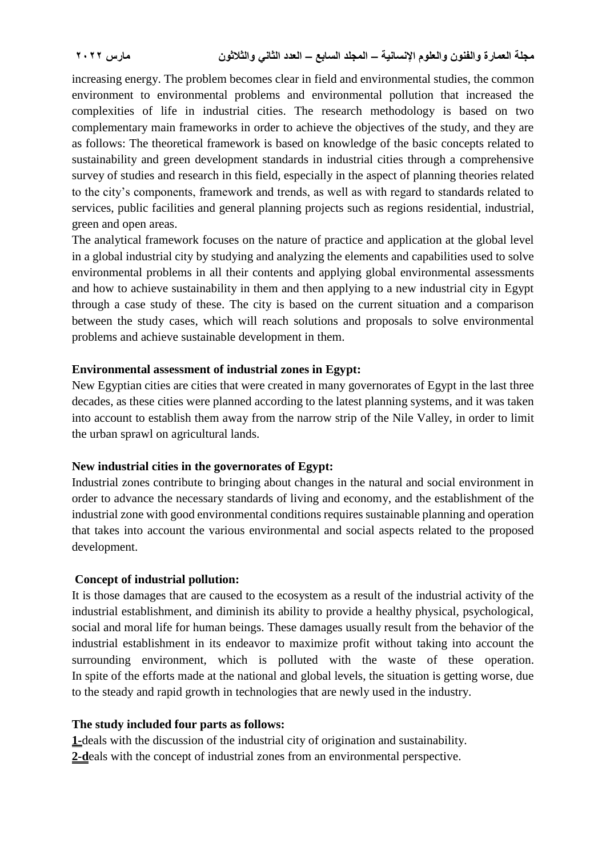increasing energy. The problem becomes clear in field and environmental studies, the common environment to environmental problems and environmental pollution that increased the complexities of life in industrial cities. The research methodology is based on two complementary main frameworks in order to achieve the objectives of the study, and they are as follows: The theoretical framework is based on knowledge of the basic concepts related to sustainability and green development standards in industrial cities through a comprehensive survey of studies and research in this field, especially in the aspect of planning theories related to the city's components, framework and trends, as well as with regard to standards related to services, public facilities and general planning projects such as regions residential, industrial, green and open areas.

The analytical framework focuses on the nature of practice and application at the global level in a global industrial city by studying and analyzing the elements and capabilities used to solve environmental problems in all their contents and applying global environmental assessments and how to achieve sustainability in them and then applying to a new industrial city in Egypt through a case study of these. The city is based on the current situation and a comparison between the study cases, which will reach solutions and proposals to solve environmental problems and achieve sustainable development in them.

#### **Environmental assessment of industrial zones in Egypt:**

New Egyptian cities are cities that were created in many governorates of Egypt in the last three decades, as these cities were planned according to the latest planning systems, and it was taken into account to establish them away from the narrow strip of the Nile Valley, in order to limit the urban sprawl on agricultural lands.

## **New industrial cities in the governorates of Egypt:**

Industrial zones contribute to bringing about changes in the natural and social environment in order to advance the necessary standards of living and economy, and the establishment of the industrial zone with good environmental conditions requires sustainable planning and operation that takes into account the various environmental and social aspects related to the proposed development.

## **Concept of industrial pollution:**

It is those damages that are caused to the ecosystem as a result of the industrial activity of the industrial establishment, and diminish its ability to provide a healthy physical, psychological, social and moral life for human beings. These damages usually result from the behavior of the industrial establishment in its endeavor to maximize profit without taking into account the surrounding environment, which is polluted with the waste of these operation. In spite of the efforts made at the national and global levels, the situation is getting worse, due to the steady and rapid growth in technologies that are newly used in the industry.

## **The study included four parts as follows:**

**1-**deals with the discussion of the industrial city of origination and sustainability. **2-d**eals with the concept of industrial zones from an environmental perspective.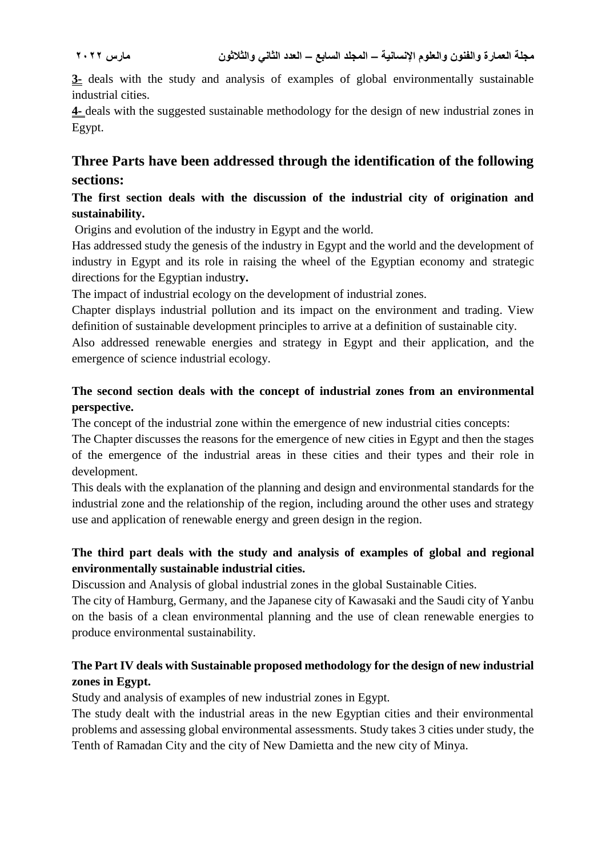**3-** deals with the study and analysis of examples of global environmentally sustainable industrial cities.

**4-** deals with the suggested sustainable methodology for the design of new industrial zones in Egypt.

# **Three Parts have been addressed through the identification of the following sections:**

## **The first section deals with the discussion of the industrial city of origination and sustainability.**

Origins and evolution of the industry in Egypt and the world.

Has addressed study the genesis of the industry in Egypt and the world and the development of industry in Egypt and its role in raising the wheel of the Egyptian economy and strategic directions for the Egyptian industr**y.**

The impact of industrial ecology on the development of industrial zones.

Chapter displays industrial pollution and its impact on the environment and trading. View definition of sustainable development principles to arrive at a definition of sustainable city.

Also addressed renewable energies and strategy in Egypt and their application, and the emergence of science industrial ecology.

## **The second section deals with the concept of industrial zones from an environmental perspective.**

The concept of the industrial zone within the emergence of new industrial cities concepts:

The Chapter discusses the reasons for the emergence of new cities in Egypt and then the stages of the emergence of the industrial areas in these cities and their types and their role in development.

This deals with the explanation of the planning and design and environmental standards for the industrial zone and the relationship of the region, including around the other uses and strategy use and application of renewable energy and green design in the region.

# **The third part deals with the study and analysis of examples of global and regional environmentally sustainable industrial cities.**

Discussion and Analysis of global industrial zones in the global Sustainable Cities.

The city of Hamburg, Germany, and the Japanese city of Kawasaki and the Saudi city of Yanbu on the basis of a clean environmental planning and the use of clean renewable energies to produce environmental sustainability.

# **The Part IV deals with Sustainable proposed methodology for the design of new industrial zones in Egypt.**

Study and analysis of examples of new industrial zones in Egypt.

The study dealt with the industrial areas in the new Egyptian cities and their environmental problems and assessing global environmental assessments. Study takes 3 cities under study, the Tenth of Ramadan City and the city of New Damietta and the new city of Minya.